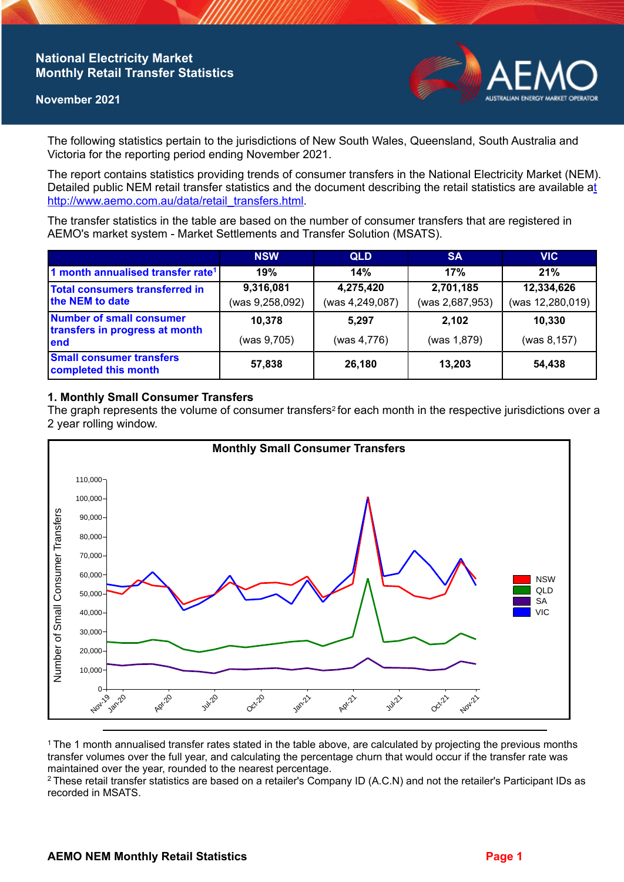## **National Electricity Market Monthly Retail Transfer Statistics**

#### **November 2021**



The following statistics pertain to the jurisdictions of New South Wales, Queensland, South Australia and Victoria for the reporting period ending November 2021.

The report contains statistics providing trends of consumer transfers in the National Electricity Market (NEM). Detailed public NEM retail transfer statistics and the document describing the retail statistics are available a[t](http://www.aemo.com.au/data/retail_transfers.html)  http://www.aemo.com.au/data/retail\_transfers.html

The transfer statistics in the table are based on the number of consumer transfers that are registered in AEMO's market system - Market Settlements and Transfer Solution (MSATS).

|                                                                           | <b>NSW</b>      | <b>QLD</b>      | <b>SA</b>       | <b>VIC</b>       |
|---------------------------------------------------------------------------|-----------------|-----------------|-----------------|------------------|
| 1 month annualised transfer rate <sup>1</sup>                             | 19%             | 14%             | 17%             | 21%              |
| Total consumers transferred in<br>the NEM to date                         | 9,316,081       | 4,275,420       | 2,701,185       | 12,334,626       |
|                                                                           | (was 9,258,092) | (was 4,249,087) | (was 2,687,953) | (was 12,280,019) |
| <b>Number of small consumer</b><br>transfers in progress at month<br>lend | 10.378          | 5.297           | 2.102           | 10,330           |
|                                                                           | (was 9,705)     | (was 4,776)     | (was 1,879)     | (was 8,157)      |
| <b>Small consumer transfers</b><br>completed this month                   | 57,838          | 26,180          | 13,203          | 54,438           |

### **1. Monthly Small Consumer Transfers**

The graph represents the volume of consumer transfers<sup>2</sup> for each month in the respective jurisdictions over a 2 year rolling window.



<sup>1</sup>The 1 month annualised transfer rates stated in the table above, are calculated by projecting the previous months transfer volumes over the full year, and calculating the percentage churn that would occur if the transfer rate was maintained over the year, rounded to the nearest percentage.

<sup>2</sup> These retail transfer statistics are based on a retailer's Company ID (A.C.N) and not the retailer's Participant IDs as recorded in MSATS.